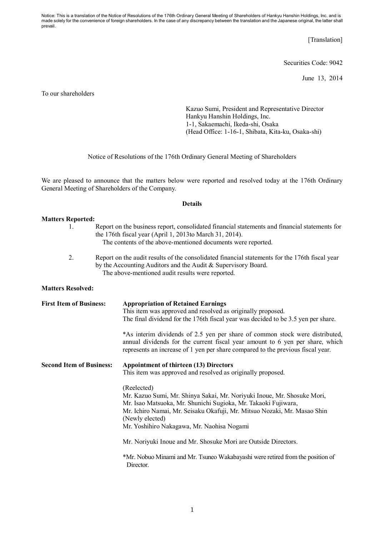Notice: This is a translation of the Notice of Resolutions of the 176th Ordinary General Meeting of Shareholders of Hankyu Hanshin Holdings, Inc. and is made solely for the convenience of foreign shareholders. In the case of any discrepancy between the translation and the Japanese original, the latter shall prevail.

[Translation]

Securities Code: 9042

June 13, 2014

To our shareholders

Kazuo Sumi, President and Representative Director Hankyu Hanshin Holdings, Inc. 1-1, Sakaemachi, Ikeda-shi, Osaka (Head Office: 1-16-1, Shibata, Kita-ku, Osaka-shi)

Notice of Resolutions of the 176th Ordinary General Meeting of Shareholders

We are pleased to announce that the matters below were reported and resolved today at the 176th Ordinary General Meeting of Shareholders of the Company.

### **Details**

## **Matters Reported:**

- 1. Report on the business report, consolidated financial statements and financial statements for the 176th fiscal year (April 1, 2013to March 31, 2014). The contents of the above-mentioned documents were reported.
	- 2. Report on the audit results of the consolidated financial statements for the 176th fiscal year by the Accounting Auditors and the Audit & Supervisory Board. The above-mentioned audit results were reported.

# **Matters Resolved:**

| <b>First Item of Business:</b>  | <b>Appropriation of Retained Earnings</b><br>This item was approved and resolved as originally proposed.<br>The final dividend for the 176th fiscal year was decided to be 3.5 yen per share.                                                                                                         |
|---------------------------------|-------------------------------------------------------------------------------------------------------------------------------------------------------------------------------------------------------------------------------------------------------------------------------------------------------|
|                                 | *As interim dividends of 2.5 yen per share of common stock were distributed,<br>annual dividends for the current fiscal year amount to 6 yen per share, which<br>represents an increase of 1 yen per share compared to the previous fiscal year.                                                      |
| <b>Second Item of Business:</b> | <b>Appointment of thirteen (13) Directors</b><br>This item was approved and resolved as originally proposed.                                                                                                                                                                                          |
|                                 | (Reelected)<br>Mr. Kazuo Sumi, Mr. Shinya Sakai, Mr. Noriyuki Inoue, Mr. Shosuke Mori,<br>Mr. Isao Matsuoka, Mr. Shunichi Sugioka, Mr. Takaoki Fujiwara,<br>Mr. Ichiro Namai, Mr. Seisaku Okafuji, Mr. Mitsuo Nozaki, Mr. Masao Shin<br>(Newly elected)<br>Mr. Yoshihiro Nakagawa, Mr. Naohisa Nogami |
|                                 | Mr. Noriyuki Inoue and Mr. Shosuke Mori are Outside Directors.                                                                                                                                                                                                                                        |
|                                 | *Mr. Nobuo Minami and Mr. Tsuneo Wakabayashi were retired from the position of<br>Director.                                                                                                                                                                                                           |